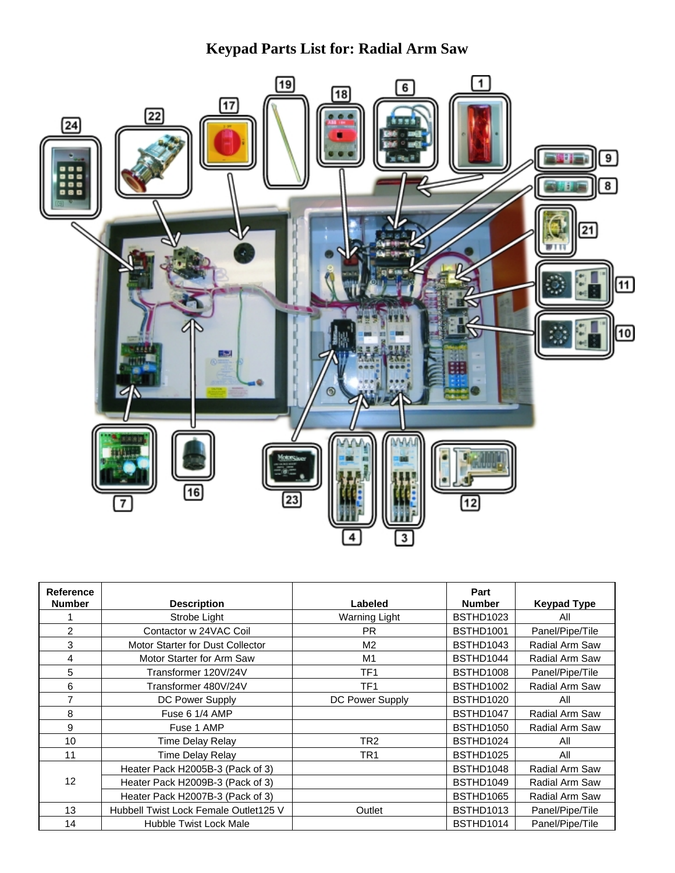## **Keypad Parts List for: Radial Arm Saw**



| Reference<br><b>Number</b> | <b>Description</b>                    | Labeled         | Part<br><b>Number</b> | <b>Keypad Type</b> |
|----------------------------|---------------------------------------|-----------------|-----------------------|--------------------|
|                            | Strobe Light                          | Warning Light   | BSTHD1023             | All                |
| $\overline{2}$             | Contactor w 24VAC Coil                | <b>PR</b>       | <b>BSTHD1001</b>      | Panel/Pipe/Tile    |
| 3                          | Motor Starter for Dust Collector      | M <sub>2</sub>  | BSTHD1043             | Radial Arm Saw     |
| 4                          | Motor Starter for Arm Saw             | M <sub>1</sub>  | BSTHD1044             | Radial Arm Saw     |
| 5                          | Transformer 120V/24V                  | TF <sub>1</sub> | BSTHD1008             | Panel/Pipe/Tile    |
| 6                          | Transformer 480V/24V                  | TF <sub>1</sub> | BSTHD1002             | Radial Arm Saw     |
| $\overline{7}$             | DC Power Supply                       | DC Power Supply | BSTHD1020             | All                |
| 8                          | Fuse 6 1/4 AMP                        |                 | BSTHD1047             | Radial Arm Saw     |
| 9                          | Fuse 1 AMP                            |                 | BSTHD1050             | Radial Arm Saw     |
| 10                         | Time Delay Relay                      | TR <sub>2</sub> | BSTHD1024             | All                |
| 11                         | Time Delay Relay                      | TR <sub>1</sub> | BSTHD1025             | All                |
| 12                         | Heater Pack H2005B-3 (Pack of 3)      |                 | BSTHD1048             | Radial Arm Saw     |
|                            | Heater Pack H2009B-3 (Pack of 3)      |                 | BSTHD1049             | Radial Arm Saw     |
|                            | Heater Pack H2007B-3 (Pack of 3)      |                 | BSTHD1065             | Radial Arm Saw     |
| 13                         | Hubbell Twist Lock Female Outlet125 V | Outlet          | <b>BSTHD1013</b>      | Panel/Pipe/Tile    |
| 14                         | Hubble Twist Lock Male                |                 | BSTHD1014             | Panel/Pipe/Tile    |